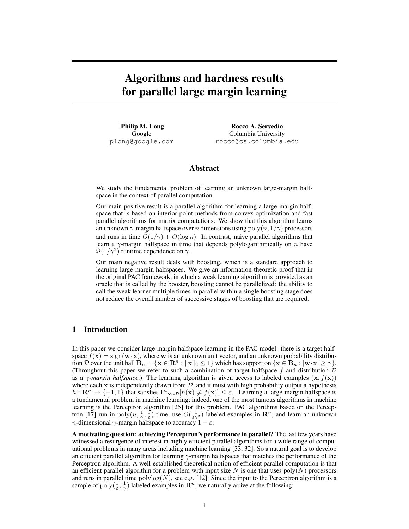# Algorithms and hardness results for parallel large margin learning

Philip M. Long Google plong@google.com

Rocco A. Servedio Columbia University rocco@cs.columbia.edu

## Abstract

We study the fundamental problem of learning an unknown large-margin halfspace in the context of parallel computation.

Our main positive result is a parallel algorithm for learning a large-margin halfspace that is based on interior point methods from convex optimization and fast parallel algorithms for matrix computations. We show that this algorithm learns an unknown  $\gamma$ -margin halfspace over n dimensions using poly $(n, 1/\gamma)$  processors and runs in time  $O(1/\gamma) + O(\log n)$ . In contrast, naive parallel algorithms that learn a  $\gamma$ -margin halfspace in time that depends polylogarithmically on n have  $\Omega(1/\gamma^2)$  runtime dependence on  $\gamma$ .

Our main negative result deals with boosting, which is a standard approach to learning large-margin halfspaces. We give an information-theoretic proof that in the original PAC framework, in which a weak learning algorithm is provided as an oracle that is called by the booster, boosting cannot be parallelized: the ability to call the weak learner multiple times in parallel within a single boosting stage does not reduce the overall number of successive stages of boosting that are required.

## 1 Introduction

In this paper we consider large-margin halfspace learning in the PAC model: there is a target halfspace  $f(\mathbf{x}) = \text{sign}(\mathbf{w} \cdot \mathbf{x})$ , where w is an unknown unit vector, and an unknown probability distribution D over the unit ball  $B_n = \{x \in \mathbb{R}^n : ||x||_2 \leq 1\}$  which has support on  $\{x \in B_n : |w \cdot x| \geq \gamma\}$ . (Throughout this paper we refer to such a combination of target halfspace  $f$  and distribution  $D$ as a  $\gamma$ *-margin halfspace*.) The learning algorithm is given access to labeled examples (x,  $f(x)$ ) where each  $x$  is independently drawn from  $D$ , and it must with high probability output a hypothesis  $h: \mathbf{R}^n \to \{-1,1\}$  that satisfies  $\Pr_{\mathbf{x} \sim \mathcal{D}} |h(\mathbf{x}) \neq f(\mathbf{x})| \leq \varepsilon$ . Learning a large-margin halfspace is a fundamental problem in machine learning; indeed, one of the most famous algorithms in machine learning is the Perceptron algorithm [25] for this problem. PAC algorithms based on the Perceptron [17] run in  $poly(n, \frac{1}{\gamma}, \frac{1}{\varepsilon})$  time, use  $O(\frac{1}{\varepsilon \gamma^2})$  labeled examples in  $\mathbb{R}^n$ , and learn an unknown *n*-dimensional  $\gamma$ -margin halfspace to accuracy  $1 - \varepsilon$ .

A motivating question: achieving Perceptron's performance in parallel? The last few years have witnessed a resurgence of interest in highly efficient parallel algorithms for a wide range of computational problems in many areas including machine learning [33, 32]. So a natural goal is to develop an efficient parallel algorithm for learning  $\gamma$ -margin halfspaces that matches the performance of the Perceptron algorithm. A well-established theoretical notion of efficient parallel computation is that an efficient parallel algorithm for a problem with input size  $N$  is one that uses poly $(N)$  processors and runs in parallel time  $\text{polylog}(N)$ , see e.g. [12]. Since the input to the Perceptron algorithm is a sample of  $\text{poly}(\frac{1}{\varepsilon}, \frac{1}{\gamma})$  labeled examples in  $\mathbb{R}^n$ , we naturally arrive at the following: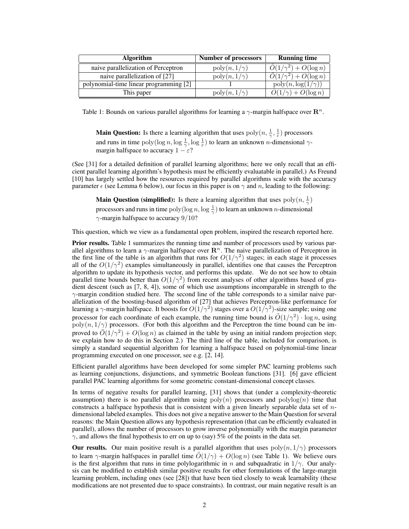| <b>Algorithm</b>                       | <b>Number of processors</b>       | <b>Running time</b>                          |
|----------------------------------------|-----------------------------------|----------------------------------------------|
| naive parallelization of Perceptron    | $\mathrm{poly}(n,1/\gamma)$       | $\tilde{O}(1/\gamma^2) + O(\log n)$          |
| naive parallelization of [27]          | $\operatorname{poly}(n,1/\gamma)$ | $\overline{\tilde{O}(1/\gamma^2)+O(\log n)}$ |
| polynomial-time linear programming [2] |                                   | $poly(n, \log(1/\gamma))$                    |
| This paper                             | $\operatorname{poly}(n,1/\gamma)$ | $O(1/\gamma) + O(\log n)$                    |

Table 1: Bounds on various parallel algorithms for learning a  $\gamma$ -margin halfspace over  $\mathbb{R}^n$ .

**Main Question:** Is there a learning algorithm that uses  $\text{poly}(n, \frac{1}{\gamma}, \frac{1}{\varepsilon})$  processors and runs in time  $poly(log n, log \frac{1}{\gamma}, log \frac{1}{\epsilon})$  to learn an unknown *n*-dimensional  $\gamma$ margin halfspace to accuracy  $1 - \varepsilon$ ?

(See [31] for a detailed definition of parallel learning algorithms; here we only recall that an efficient parallel learning algorithm's hypothesis must be efficiently evaluatable in parallel.) As Freund [10] has largely settled how the resources required by parallel algorithms scale with the accuracy parameter  $\epsilon$  (see Lemma 6 below), our focus in this paper is on  $\gamma$  and n, leading to the following:

**Main Question (simplified):** Is there a learning algorithm that uses  $poly(n, \frac{1}{\gamma})$ processors and runs in time  $\text{poly}(\log n, \log \frac{1}{\gamma})$  to learn an unknown *n*-dimensional  $\gamma$ -margin halfspace to accuracy 9/10?

This question, which we view as a fundamental open problem, inspired the research reported here.

Prior results. Table 1 summarizes the running time and number of processors used by various parallel algorithms to learn a  $\gamma$ -margin halfspace over  $\mathbb{R}^n$ . The naive parallelization of Perceptron in the first line of the table is an algorithm that runs for  $O(1/\gamma^2)$  stages; in each stage it processes all of the  $O(1/\gamma^2)$  examples simultaneously in parallel, identifies one that causes the Perceptron algorithm to update its hypothesis vector, and performs this update. We do not see how to obtain parallel time bounds better than  $O(1/\gamma^2)$  from recent analyses of other algorithms based of gradient descent (such as [7, 8, 4]), some of which use assumptions incomparable in strength to the  $\gamma$ -margin condition studied here. The second line of the table corresponds to a similar naive parallelization of the boosting-based algorithm of [27] that achieves Perceptron-like performance for learning a  $\gamma$ -margin halfspace. It boosts for  $O(1/\gamma^2)$  stages over a  $O(1/\gamma^2)$ -size sample; using one processor for each coordinate of each example, the running time bound is  $\tilde{O}(1/\gamma^2) \cdot \log n$ , using  $poly(n, 1/\gamma)$  processors. (For both this algorithm and the Perceptron the time bound can be improved to  $\tilde{O}(1/\gamma^2) + O(\log n)$  as claimed in the table by using an initial random projection step; we explain how to do this in Section 2.) The third line of the table, included for comparison, is simply a standard sequential algorithm for learning a halfspace based on polynomial-time linear programming executed on one processor, see e.g. [2, 14].

Efficient parallel algorithms have been developed for some simpler PAC learning problems such as learning conjunctions, disjunctions, and symmetric Boolean functions [31]. [6] gave efficient parallel PAC learning algorithms for some geometric constant-dimensional concept classes.

In terms of negative results for parallel learning, [31] shows that (under a complexity-theoretic assumption) there is no parallel algorithm using  $poly(n)$  processors and  $polylog(n)$  time that constructs a halfspace hypothesis that is consistent with a given linearly separable data set of  $n$ dimensional labeled examples. This does not give a negative answer to the Main Question for several reasons: the Main Question allows any hypothesis representation (that can be efficiently evaluated in parallel), allows the number of processors to grow inverse polynomially with the margin parameter  $\gamma$ , and allows the final hypothesis to err on up to (say) 5% of the points in the data set.

Our results. Our main positive result is a parallel algorithm that uses  $poly(n, 1/\gamma)$  processors to learn  $\gamma$ -margin halfspaces in parallel time  $\tilde{O}(1/\gamma) + O(\log n)$  (see Table 1). We believe ours is the first algorithm that runs in time polylogarithmic in n and subquadratic in  $1/\gamma$ . Our analysis can be modified to establish similar positive results for other formulations of the large-margin learning problem, including ones (see [28]) that have been tied closely to weak learnability (these modifications are not presented due to space constraints). In contrast, our main negative result is an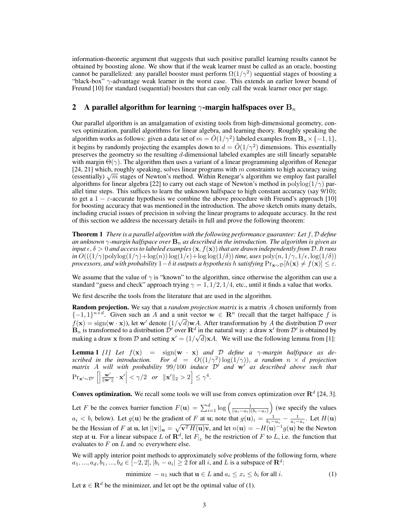information-theoretic argument that suggests that such positive parallel learning results cannot be obtained by boosting alone. We show that if the weak learner must be called as an oracle, boosting cannot be parallelized: any parallel booster must perform  $\Omega(1/\gamma^2)$  sequential stages of boosting a "black-box"  $\gamma$ -advantage weak learner in the worst case. This extends an earlier lower bound of Freund [10] for standard (sequential) boosters that can only call the weak learner once per stage.

# 2 A parallel algorithm for learning  $\gamma$ -margin halfspaces over  $\mathbf{B}_n$

Our parallel algorithm is an amalgamation of existing tools from high-dimensional geometry, convex optimization, parallel algorithms for linear algebra, and learning theory. Roughly speaking the algorithm works as follows: given a data set of  $m = \tilde{O}(1/\gamma^2)$  labeled examples from  $\mathbf{B}_n \times \{-1, 1\}$ , it begins by randomly projecting the examples down to  $d = \tilde{O}(1/\gamma^2)$  dimensions. This essentially preserves the geometry so the resulting d-dimensional labeled examples are still linearly separable with margin  $\Theta(\gamma)$ . The algorithm then uses a variant of a linear programming algorithm of Renegar [24, 21] which, roughly speaking, solves linear programs with  $m$  constraints to high accuracy using (24, 21) which, roughly speaking, solves linear programs with m constraints to high accuracy using<br>(essentially)  $\sqrt{m}$  stages of Newton's method. Within Renegar's algorithm we employ fast parallel algorithms for linear algebra [22] to carry out each stage of Newton's method in  $\text{polylog}(1/\gamma)$  parallel time steps. This suffices to learn the unknown halfspace to high constant accuracy (say 9/10); to get a  $1 - \varepsilon$ -accurate hypothesis we combine the above procedure with Freund's approach [10] for boosting accuracy that was mentioned in the introduction. The above sketch omits many details, including crucial issues of precision in solving the linear programs to adequate accuracy. In the rest of this section we address the necessary details in full and prove the following theorem:

Theorem 1 *There is a parallel algorithm with the following performance guarantee: Let* f, D *define an unknown*  $\gamma$ -margin halfspace over  $\mathbf{B}_n$  as described in the introduction. The algorithm is given as *input*  $\epsilon, \delta > 0$  *and access to labeled examples*  $(x, f(x))$  *that are drawn independently from*  $D$ *. It runs*  $in O(((1/\gamma) \text{polylog}(1/\gamma) + \log(n)) \log(1/\epsilon) + \log(\log(1/\delta))$  *time, uses* poly $(n, 1/\gamma, 1/\epsilon, \log(1/\delta))$ *processors, and with probability*  $1-\delta$  *it outputs a hypothesis* h *satisfying*  $Pr_{\mathbf{x} \sim \mathcal{D}}[h(\mathbf{x}) \neq f(\mathbf{x})] \leq \varepsilon$ .

We assume that the value of  $\gamma$  is "known" to the algorithm, since otherwise the algorithm can use a standard "guess and check" approach trying  $\gamma = 1$ ,  $1/2$ ,  $1/4$ , etc., until it finds a value that works.

We first describe the tools from the literature that are used in the algorithm.

Random projection. We say that a *random projection matrix* is a matrix A chosen uniformly from  $\{-1,1\}^{n \times d}$ . Given such an A and a unit vector  $\mathbf{w} \in \mathbb{R}^n$  (recall that the target halfspace f is  $f(\mathbf{x}) = \text{sign}(\mathbf{w} \cdot \mathbf{x})$ ), let w' denote  $(1/\sqrt{d})\mathbf{w}A$ . After transformation by A the distribution D over  $\mathbf{B}_n$  is transformed to a distribution  $\mathcal{D}'$  over  $\mathbf{R}^d$  in the natural way: a draw  $\mathbf{x}'$  from  $\mathcal{D}'$  is obtained by making a draw x from D and setting  $x' = (1/\sqrt{d})xA$ . We will use the following lemma from [1]:

**Lemma 1** [1] Let  $f(\mathbf{x}) = \text{sign}(\mathbf{w} \cdot \mathbf{x})$  and D define a  $\gamma$ -margin halfspace as de*scribed in the introduction. For*  $d = O((1/\gamma^2) \log(1/\gamma))$ , *a random*  $n \times d$  *projection matrix* A will with probability  $99/100$  induce  $\mathcal{D}'$  and  $\mathbf{w}'$  as described above such that  $\Pr_{\mathbf{x}' \sim \mathcal{D}'} \left[ \right]$  $\frac{\mathbf{w}'}{\|\mathbf{w}'\|}\cdot\mathbf{x}'$   $\leq \gamma/2$  *or*  $\|\mathbf{x}'\|_2 > 2$   $\leq \gamma^4$ .

**Convex optimization.** We recall some tools we will use from convex optimization over  $\mathbb{R}^d$  [24, 3].

Let F be the convex barrier function  $F(\mathbf{u}) = \sum_{i=1}^{d} \log \left( \frac{1}{(u_i - a_i)(b_i - u_i)} \right)$  (we specify the values  $a_i < b_i$  below). Let  $g(\mathbf{u})$  be the gradient of F at  $\mathbf{u}$ ; note that  $g(\mathbf{u})_i = \frac{1}{b_i - u_i} - \frac{1}{u_i - a_i}$ . Let  $H(\mathbf{u})$ be the Hessian of F at u, let  $||v||_{u} = \sqrt{v^T H(u)v}$ , and let  $n(u) = -H(u)^{-1} g(u)$  be the Newton step at **u**. For a linear subspace L of  $\mathbb{R}^d$ , let  $F_{|L}$  be the restriction of F to L, i.e. the function that evaluates to F on L and  $\infty$  everywhere else.

We will apply interior point methods to approximately solve problems of the following form, where  $a_1, ..., a_d, b_1, ..., b_d \in [-2, 2], |b_i - a_i| \ge 2$  for all i, and L is a subspace of  $\mathbb{R}^d$ :

minimize 
$$
-u_1
$$
 such that  $\mathbf{u} \in L$  and  $a_i \le x_i \le b_i$  for all *i*. (1)

Let  $z \in \mathbb{R}^d$  be the minimizer, and let opt be the optimal value of (1).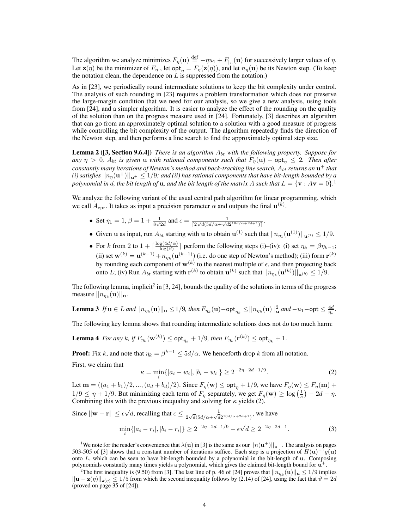The algorithm we analyze minimizes  $F_{\eta}(\mathbf{u}) \stackrel{\text{def}}{=} -\eta u_1 + F_{|L}(\mathbf{u})$  for successively larger values of  $\eta$ . Let  $\mathbf{z}(\eta)$  be the minimizer of  $F_\eta$  , let opt $\eta = F_\eta(\mathbf{z}(\eta))$ , and let  $n_\eta(\mathbf{u})$  be its Newton step. (To keep the notation clean, the dependence on  $L$  is suppressed from the notation.)

As in [23], we periodically round intermediate solutions to keep the bit complexity under control. The analysis of such rounding in [23] requires a problem transformation which does not preserve the large-margin condition that we need for our analysis, so we give a new analysis, using tools from [24], and a simpler algorithm. It is easier to analyze the effect of the rounding on the quality of the solution than on the progress measure used in [24]. Fortunately, [3] describes an algorithm that can go from an approximately optimal solution to a solution with a good measure of progress while controlling the bit complexity of the output. The algorithm repeatedly finds the direction of the Newton step, and then performs a line search to find the approximately optimal step size.

**Lemma 2** ([3, Section 9.6.4]) *There is an algorithm*  $A_{bt}$  *with the following property. Suppose for any*  $\eta > 0$ ,  $A_{bt}$  *is given* **u** *with rational components such that*  $F_{\eta}(\mathbf{u}) - \mathbf{opt}_{\eta} \leq 2$ . Then after  $\epsilon$  *constantly many iterations of Newton's method and back-tracking line search,*  $A_{bt}$  *returns an*  $\mathbf{u}^+$  *that* (i) satisfies  $||n_{\eta}(\mathbf{u}^+)||_{\mathbf{u}^+}\leq 1/9$ ; and (ii) has rational components that have bit-length bounded by a polynomial in d, the bit length of  $u$ , and the bit length of the matrix  $A$  such that  $L = \{\mathbf{v}: A\mathbf{v} = 0\}.^1$ 

We analyze the following variant of the usual central path algorithm for linear programming, which we call  $A_{\text{cpr}}$ . It takes as input a precision parameter  $\alpha$  and outputs the final  $\mathbf{u}^{(k)}$ .

- Set  $\eta_1 = 1$ ,  $\beta = 1 + \frac{1}{8\sqrt{2d}}$  and  $\epsilon = \frac{1}{\sqrt{2\sqrt{d}}(5d/\alpha + \sqrt{d})}$  $\frac{1}{[2\sqrt{d}(5d/\alpha+\sqrt{d}2^{10d/\alpha+2d+1})]}.$
- Given **u** as input, run  $A_{bt}$  starting with **u** to obtain **u**<sup>(1)</sup> such that  $||n_{\eta_1}(\mathbf{u}^{(1)})||_{\mathbf{u}^{(1)}} \le 1/9$ .
- For k from 2 to  $1 + \lceil \frac{\log(4d/\alpha)}{\log(3)} \rceil$  $\frac{g(4a/\alpha)}{\log(\beta)}$  perform the following steps (i)–(iv): (i) set  $\eta_k = \beta \eta_{k-1}$ ; (ii) set  $\mathbf{w}^{(k)} = \mathbf{u}^{(k-1)} + n_{\eta_k}(\mathbf{u}^{(k-1)})$  (i.e. do one step of Newton's method); (iii) form  $\mathbf{r}^{(k)}$ by rounding each component of  $w^{(k)}$  to the nearest multiple of  $\epsilon$ , and then projecting back onto L; (iv) Run  $A_{bt}$  starting with  $\mathbf{r}^{(k)}$  to obtain  $\mathbf{u}^{(k)}$  such that  $||n_{\eta_k}(\mathbf{u}^{(k)})||_{\mathbf{u}^{(k)}} \leq 1/9$ .

The following lemma, implicit<sup>2</sup> in [3, 24], bounds the quality of the solutions in terms of the progress measure  $||n_{\eta_k}(\mathbf{u})||_{\mathbf{u}}$ .

**Lemma 3** If 
$$
\mathbf{u} \in L
$$
 and  $||n_{\eta_k}(\mathbf{u})||_{\mathbf{u}} \leq 1/9$ , then  $F_{\eta_k}(\mathbf{u}) - \text{opt}_{\eta_k} \leq ||n_{\eta_k}(\mathbf{u})||_{\mathbf{u}}^2$  and  $-u_1 - \text{opt} \leq \frac{4d}{\eta_k}$ .

The following key lemma shows that rounding intermediate solutions does not do too much harm:

**Lemma 4** For any k, if  $F_{\eta_k}(\mathbf{w}^{(k)}) \leq \mathsf{opt}_{\eta_k} + 1/9$ , then  $F_{\eta_k}(\mathbf{r}^{(k)}) \leq \mathsf{opt}_{\eta_k} + 1$ .

**Proof:** Fix k, and note that  $\eta_k = \beta^{k-1} \le 5d/\alpha$ . We henceforth drop k from all notation.

First, we claim that

$$
\kappa = \min_{i} \{|a_i - w_i|, |b_i - w_i|\} \ge 2^{-2\eta - 2d - 1/9}.
$$
 (2)

Let  $m = ((a_1 + b_1)/2, ..., (a_d + b_d)/2)$ . Since  $F_{\eta}(\mathbf{w}) \le \mathsf{opt}_{\eta} + 1/9$ , we have  $F_{\eta}(\mathbf{w}) \le F_{\eta}(\mathbf{m}) +$  $1/9 \leq \eta + 1/9$ . But minimizing each term of  $F_{\eta}$  separately, we get  $F_{\eta}(\mathbf{w}) \geq \log\left(\frac{1}{\kappa}\right) - 2d - \eta$ . Combining this with the previous inequality and solving for  $\kappa$  yields (2).

Since 
$$
||\mathbf{w} - \mathbf{r}|| \le \epsilon \sqrt{d}
$$
, recalling that  $\epsilon \le \frac{1}{2\sqrt{d}(5d/\alpha + \sqrt{d}2^{10d/\alpha + 2d + 1})}$ , we have  
\n
$$
\min_{i} \{|a_i - r_i|, |b_i - r_i|\} \ge 2^{-2\eta - 2d - 1/9} - \epsilon \sqrt{d} \ge 2^{-2\eta - 2d - 1}.
$$
\n(3)

<sup>&</sup>lt;sup>1</sup>We note for the reader's convenience that  $\lambda(\bf{u})$  in [3] is the same as our  $||n(\bf{u}^+)||_{\bf{u}}$ . The analysis on pages 503-505 of [3] shows that a constant number of iterations suffice. Each step is a projection of  $H(u)^{-1}g(u)$ onto L, which can be seen to have bit-length bounded by a polynomial in the bit-length of u. Composing polynomials constantly many times yields a polynomial, which gives the claimed bit-length bound for  $\mathbf{u}^+$ .

<sup>&</sup>lt;sup>2</sup>The first inequality is (9.50) from [3]. The last line of p. 46 of [24] proves that  $||n_{\eta_k}(\mathbf{u})||_{\mathbf{u}} \le 1/9$  implies  $||u - z(\eta)||_{z(\eta)} \le 1/5$  from which the second inequality follows by (2.14) of [24], using the fact that  $\vartheta = 2d$ (proved on page 35 of [24]).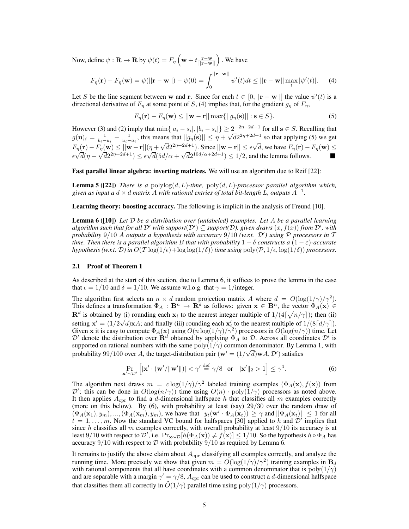Now, define  $\psi : \mathbf{R} \to \mathbf{R}$  by  $\psi(t) = F_{\eta} \left( \mathbf{w} + t \frac{\mathbf{r} - \mathbf{w}}{||\mathbf{r} - \mathbf{w}||} \right)$  . We have

$$
F_{\eta}(\mathbf{r}) - F_{\eta}(\mathbf{w}) = \psi(||\mathbf{r} - \mathbf{w}||) - \psi(0) = \int_0^{||\mathbf{r} - \mathbf{w}||} \psi'(t)dt \le ||\mathbf{r} - \mathbf{w}|| \max_t |\psi'(t)|. \tag{4}
$$

Let S be the line segment between w and r. Since for each  $t \in [0, ||\mathbf{r} - \mathbf{w}||]$  the value  $\psi'(t)$  is a directional derivative of  $F_n$  at some point of S, (4) implies that, for the gradient  $g_n$  of  $F_n$ ,

$$
F_{\eta}(\mathbf{r}) - F_{\eta}(\mathbf{w}) \le ||\mathbf{w} - \mathbf{r}|| \max{||g_{\eta}(\mathbf{s})||} : \mathbf{s} \in S\}.
$$
 (5)

However (3) and (2) imply that  $\min\{|a_i - s_i|, |b_i - s_i|\} \ge 2^{-2\eta - 2d - 1}$  for all  $s \in S$ . Recalling that  $g(\mathbf{u})_i = \frac{1}{b_i - u_i} - \frac{1}{u_i - a_i}$ , this means that  $||g_\eta(\mathbf{s})|| \leq \eta + \frac{1}{\eta}$ √  $\overline{d}2^{2\eta+2d+1}$  so that applying (5) we get  $F_{\eta}(\mathbf{r}) - F_{\eta}(\mathbf{w}) \leq ||\mathbf{w} - \mathbf{r}||(\eta +$ √  $\overline{d}2^{2\eta+2d+1}$ ). Since  $||\mathbf{w}-\mathbf{r}|| \leq \epsilon \sqrt{n}$ d, we have  $F_{\eta}(\mathbf{r}) - F_{\eta}(\mathbf{w}) \leq$  $\epsilon$  $\eta$  $d(\eta +$  $\eta$  $\frac{d}{dt}(\mathbf{w}) \leq ||\mathbf{w} - \mathbf{r}|| \leq \epsilon \sqrt{d}$  $d(5d/\alpha +$ √  $\overline{d}2^{10d/\alpha+2d+1}) \leq 1/2$ , and the lemma follows.

Fast parallel linear algebra: inverting matrices. We will use an algorithm due to Reif [22]:

**Lemma 5** ([22]) *There is a*  $\text{polylog}(d, L)$ *-time,*  $\text{poly}(d, L)$ *-processor parallel algorithm which,* given as input a  $d \times d$  matrix  $A$  with rational entries of total bit-length  $\hat{L}$ , outputs  $A^{-1}$ .

Learning theory: boosting accuracy. The following is implicit in the analysis of Freund [10].

Lemma 6 ([10]) *Let* D *be a distribution over (unlabeled) examples. Let* A *be a parallel learning*  $algorithm$  such that for all  $\mathcal{D}'$  with support $(\mathcal{D}')\subseteq support(\mathcal{D})$ , given draws  $(x, f(x))$  from  $\mathcal{D}'$ , with *probability* 9/10 A *outputs a hypothesis with accuracy* 9/10 *(w.r.t.* D') using  $\hat{P}$  *processors in* T *time. Then there is a parallel algorithm* B *that with probability*  $1 - \delta$  *constructs a*  $(1 - \varepsilon)$ *-accurate hypothesis (w.r.t.* D) *in*  $O(T \log(1/\epsilon) + \log \log(1/\delta))$  *time using*  $\text{poly}(\mathcal{P}, 1/\epsilon, \log(1/\delta))$  *processors.* 

#### 2.1 Proof of Theorem 1

As described at the start of this section, due to Lemma 6, it suffices to prove the lemma in the case that  $\epsilon = 1/10$  and  $\delta = 1/10$ . We assume w.l.o.g. that  $\gamma = 1/$ integer.

The algorithm first selects an  $n \times d$  random projection matrix A where  $d = O(\log(1/\gamma)/\gamma^2)$ . This defines a transformation  $\Phi_A : \mathbf{B}^n \to \mathbf{R}^d$  as follows: given  $\mathbf{x} \in \mathbf{B}^n$ , the vector  $\Phi_A(\mathbf{x}) \in$  $\mathbf{R}^d$  is obtained by (i) rounding each  $\mathbf{x}_i$  to the nearest integer multiple of  $1/(4\lceil \sqrt{n/\gamma} \rceil)$ ; then (ii) **R** is obtained by (<br>setting  $x' = (1/2\sqrt{3})$  $\overline{d}$ )**x**A; and finally (iii) rounding each **x**<sup>*i*</sup> to the nearest multiple of 1/(8 $\left\lfloor d/\gamma \right\rfloor$ ). Given x it is easy to compute  $\Phi_A(x)$  using  $O(n \log(1/\gamma)/\gamma^2)$  processors in  $O(\log(n/\gamma))$  time. Let  $\mathcal{D}'$  denote the distribution over  $\mathbf{R}^d$  obtained by applying  $\Phi_A$  to  $\mathcal{D}$ . Across all coordinates  $\mathcal{D}'$  is supported on rational numbers with the same  $poly(1/\gamma)$  common denominator. By Lemma 1, with probability 99/100 over A, the target-distribution pair  $(w' = (1/\sqrt{d})wA, \mathcal{D}')$  satisfies

$$
\Pr_{\mathbf{x}' \sim \mathcal{D}'} \left[ |\mathbf{x}' \cdot (\mathbf{w}'/\|\mathbf{w}'\|) | < \gamma' \stackrel{\text{def}}{=} \gamma/8 \quad \text{or} \quad \|\mathbf{x}'\|_2 > 1 \right] \le \gamma^4. \tag{6}
$$

The algorithm next draws  $m = c \log(1/\gamma)/\gamma^2$  labeled training examples  $(\Phi_A(\mathbf{x}), f(\mathbf{x}))$  from D'; this can be done in  $O(log(n/\gamma))$  time using  $O(n)$  · poly $(1/\gamma)$  processors as noted above. It then applies  $A_{\text{cpr}}$  to find a d-dimensional halfspace h that classifies all m examples correctly (more on this below). By (6), with probability at least (say) 29/30 over the random draw of  $(\Phi_A(\mathbf{x}_1), y_m), ..., (\Phi_A(\mathbf{x}_m), y_m)$ , we have that  $y_t(\mathbf{w}' \cdot \Phi_A(\mathbf{x}_t)) \geq \gamma$  and  $||\Phi_A(\mathbf{x}_t)|| \leq 1$  for all  $t = 1, \ldots, m$ . Now the standard VC bound for halfspaces [30] applied to h and  $\mathcal{D}'$  implies that since h classifies all m examples correctly, with overall probability at least  $9/10$  its accuracy is at least 9/10 with respect to D', i.e.  $Pr_{\mathbf{x} \sim \mathcal{D}}[h(\Phi_A(\mathbf{x})) \neq f(\mathbf{x})] \leq 1/10$ . So the hypothesis  $h \circ \Phi_A$  has accuracy  $9/10$  with respect to D with probability  $9/10$  as required by Lemma 6.

It remains to justify the above claim about  $A_{\text{cpr}}$  classifying all examples correctly, and analyze the running time. More precisely we show that given  $m = O(\log(1/\gamma)/\gamma^2)$  training examples in  $\mathbf{B}_d$ with rational components that all have coordinates with a common denominator that is  $poly(1/\gamma)$ and are separable with a margin  $\gamma' = \gamma/8$ ,  $A_{\rm cpr}$  can be used to construct a d-dimensional halfspace that classifies them all correctly in  $\tilde{O}(1/\gamma)$  parallel time using  $poly(1/\gamma)$  processors.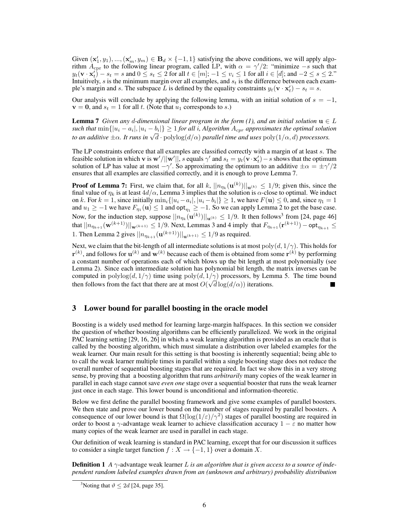Given  $(\mathbf{x}'_1, y_1), ..., (\mathbf{x}'_m, y_m) \in \mathbf{B}_d \times \{-1, 1\}$  satisfying the above conditions, we will apply algorithm  $A_{\text{cpr}}$  to the following linear program, called LP, with  $\alpha = \gamma/2$ : "minimize –s such that  $y_t(\mathbf{v} \cdot \mathbf{x}_t') - s_t = s$  and  $0 \le s_t \le 2$  for all  $t \in [m]; -1 \le v_i \le 1$  for all  $i \in [d]$ ; and  $-2 \le s \le 2$ ." Intuitively,  $s$  is the minimum margin over all examples, and  $s_t$  is the difference between each example's margin and s. The subspace L is defined by the equality constraints  $y_t(\mathbf{v} \cdot \mathbf{x}'_t) - s_t = s$ .

Our analysis will conclude by applying the following lemma, with an initial solution of  $s = -1$ ,  $\mathbf{v} = \mathbf{0}$ , and  $s_t = 1$  for all t. (Note that  $u_1$  corresponds to s.)

**Lemma** 7 *Given any d-dimensional linear program in the form (1), and an initial solution*  $\mathbf{u} \in L$  $\textit{such that } \min\{|u_i - a_i|, |u_i - b_i|\} \geq 1$  *for all i, Algorithm*  $A_{cpr}$  *approximates the optimal solution to an additive*  $\pm \alpha$ . *It runs in*  $\sqrt{d} \cdot \text{polylog}(d/\alpha)$  *parallel time and uses*  $\text{poly}(1/\alpha, d)$  *processors.* 

The LP constraints enforce that all examples are classified correctly with a margin of at least s. The feasible solution in which **v** is  $w'/||w'||$ , s equals  $\gamma'$  and  $s_t = y_t(v \cdot x'_t) - s$  shows that the optimum solution of LP has value at most  $-\gamma'$ . So approximating the optimum to an additive  $\pm \alpha = \pm \gamma'/2$ ensures that all examples are classified correctly, and it is enough to prove Lemma 7.

**Proof of Lemma 7:** First, we claim that, for all k,  $||n_{\eta_k}(\mathbf{u}^{(k)})||_{\mathbf{u}^{(k)}} \le 1/9$ ; given this, since the final value of  $\eta_k$  is at least  $4d/\alpha$ , Lemma 3 implies that the solution is  $\alpha$ -close to optimal. We induct on k. For  $k = 1$ , since initially  $\min_i \{|u_i - a_i|, |u_i - b_i|\} \ge 1$ , we have  $F(\mathbf{u}) \le 0$ , and, since  $\eta_1 = 1$ and  $u_1 \ge -1$  we have  $F_{\eta_1}(\mathbf{u}) \le 1$  and  $\mathsf{opt}_{\eta_1} \ge -1$ . So we can apply Lemma 2 to get the base case. Now, for the induction step, suppose  $||n_{\eta_k}(\mathbf{u}^{(k)})||_{\mathbf{u}^{(k)}} \leq 1/9$ . It then follows<sup>3</sup> from [24, page 46] that  $||n_{\eta_{k+1}}(\mathbf{w}^{(k+1)})||_{\mathbf{w}^{(k+1)}} \leq 1/9$ . Next, Lemmas 3 and 4 imply that  $F_{\eta_{k+1}}(\mathbf{r}^{(k+1)}) - \mathsf{opt}_{\eta_{k+1}} \leq$ 1. Then Lemma 2 gives  $||n_{\eta_{k+1}}(\mathbf{u}^{(k+1)})||_{\mathbf{u}^{(k+1)}} \leq 1/9$  as required.

Next, we claim that the bit-length of all intermediate solutions is at most  $poly(d, 1/\gamma)$ . This holds for  $\mathbf{r}^{(k)}$ , and follows for  $\mathbf{u}^{(k)}$  and  $\mathbf{w}^{(k)}$  because each of them is obtained from some  $\mathbf{r}^{(k)}$  by performing a constant number of operations each of which blows up the bit length at most polynomially (see Lemma 2). Since each intermediate solution has polynomial bit length, the matrix inverses can be computed in polylog( $d, 1/\gamma$ ) time using poly $(d, 1/\gamma)$  processors, by Lemma 5. The time bound then follows from the fact that there are at most  $O(\sqrt{d} \log(d/\alpha))$  iterations.

## 3 Lower bound for parallel boosting in the oracle model

Boosting is a widely used method for learning large-margin halfspaces. In this section we consider the question of whether boosting algorithms can be efficiently parallelized. We work in the original PAC learning setting [29, 16, 26] in which a weak learning algorithm is provided as an oracle that is called by the boosting algorithm, which must simulate a distribution over labeled examples for the weak learner. Our main result for this setting is that boosting is inherently sequential; being able to to call the weak learner multiple times in parallel within a single boosting stage does not reduce the overall number of sequential boosting stages that are required. In fact we show this in a very strong sense, by proving that a boosting algorithm that runs *arbitrarily* many copies of the weak learner in parallel in each stage cannot save *even one* stage over a sequential booster that runs the weak learner just once in each stage. This lower bound is unconditional and information-theoretic.

Below we first define the parallel boosting framework and give some examples of parallel boosters. We then state and prove our lower bound on the number of stages required by parallel boosters. A consequence of our lower bound is that  $\Omega(\log(1/\varepsilon)/\gamma^2)$  stages of parallel boosting are required in order to boost a  $\gamma$ -advantage weak learner to achieve classification accuracy  $1 - \varepsilon$  no matter how many copies of the weak learner are used in parallel in each stage.

Our definition of weak learning is standard in PAC learning, except that for our discussion it suffices to consider a single target function  $f : X \to \{-1, 1\}$  over a domain X.

**Definition 1** *A*  $\gamma$ -advantage weak learner *L* is an algorithm that is given access to a source of inde*pendent random labeled examples drawn from an (unknown and arbitrary) probability distribution*

<sup>&</sup>lt;sup>3</sup>Noting that  $\vartheta \le 2d$  [24, page 35].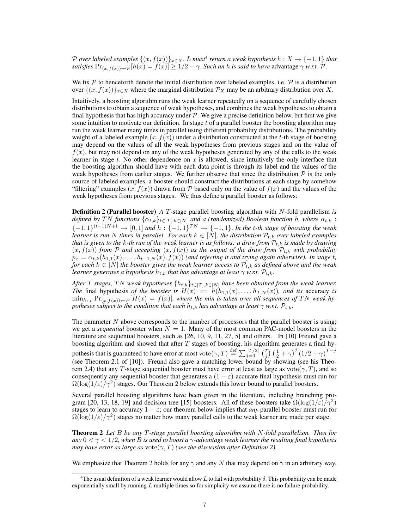${\cal P}$  over labeled examples  $\{(x,f(x))\}_{x\in X}.$  L must<sup>4</sup> return a weak hypothesis  $h:X\rightarrow \{-1,1\}$  that *satisfies*  $Pr_{(x,f(x))\leftarrow P}[h(x) = f(x)] \geq 1/2 + \gamma$ . *Such an h is said to have* advantage  $\gamma$  *w.r.t.*  $\mathcal{P}$ .

We fix  $P$  to henceforth denote the initial distribution over labeled examples, i.e.  $P$  is a distribution over  $\{(x, f(x))\}_{x\in X}$  where the marginal distribution  $\mathcal{P}_X$  may be an arbitrary distribution over X.

Intuitively, a boosting algorithm runs the weak learner repeatedly on a sequence of carefully chosen distributions to obtain a sequence of weak hypotheses, and combines the weak hypotheses to obtain a final hypothesis that has high accuracy under  $P$ . We give a precise definition below, but first we give some intuition to motivate our definition. In stage  $t$  of a parallel booster the boosting algorithm may run the weak learner many times in parallel using different probability distributions. The probability weight of a labeled example  $(x, f(x))$  under a distribution constructed at the t-th stage of boosting may depend on the values of all the weak hypotheses from previous stages and on the value of  $f(x)$ , but may not depend on any of the weak hypotheses generated by any of the calls to the weak learner in stage  $t$ . No other dependence on  $x$  is allowed, since intuitively the only interface that the boosting algorithm should have with each data point is through its label and the values of the weak hypotheses from earlier stages. We further observe that since the distribution  $P$  is the only source of labeled examples, a booster should construct the distributions at each stage by somehow "filtering" examples  $(x, f(x))$  drawn from P based only on the value of  $f(x)$  and the values of the weak hypotheses from previous stages. We thus define a parallel booster as follows:

Definition 2 (Parallel booster) *A* T-stage parallel boosting algorithm with N-fold parallelism *is defined by* TN *functions*  $\{\alpha_{t,k}\}_{t\in[T],k\in[N]}$  *and a (randomized) Boolean function* h, where  $\alpha_{t,k}$ :  ${-1, 1}$ <sup>(t-1)N+1</sup> → [0, 1] *and*  $h: {-1, 1}$ <sup>TN</sup> → {-1, 1}. *In the t-th stage of boosting the weak learner is run* N *times in parallel. For each*  $k \in [N]$ , the distribution  $\mathcal{P}_{t,k}$  over labeled examples *that is given to the k-th run of the weak learner is as follows: a draw from*  $P_{t,k}$  *is made by drawing*  $(x, f(x))$  *from* P and accepting  $(x, f(x))$  as the output of the draw from  $\mathcal{P}_{t,k}$  with probability  $p_x = \alpha_{t,k}(h_{1,1}(x), \ldots, h_{t-1,N}(x), f(x))$  *(and rejecting it and trying again otherwise). In stage t, for each*  $k \in [N]$  *the booster gives the weak learner access to*  $\mathcal{P}_{t,k}$  *as defined above and the weak learner generates a hypothesis*  $h_{t,k}$  *that has advantage at least*  $\gamma$  *w.r.t.*  $\mathcal{P}_{t,k}$ *.* 

*After* T *stages,* TN *weak hypotheses*  $\{h_{t,k}\}_{t\in[T],k\in[N]}$  *have been obtained from the weak learner. The* final hypothesis of the booster is  $H(x) := h(h_{1,1}(x), \ldots, h_{T,N}(x))$ *, and its accuracy is*  $\min_{h_{t,k}} \Pr_{(x,f(x)) \leftarrow P} [H(x) = f(x)]$ , where the min is taken over all sequences of TN weak hy*potheses subject to the condition that each*  $h_{t,k}$  *has advantage at least*  $\gamma$  *w.r.t.*  $\mathcal{P}_{t,k}$ *.* 

The parameter  $N$  above corresponds to the number of processors that the parallel booster is using; we get a *sequential* booster when  $N = 1$ . Many of the most common PAC-model boosters in the literature are sequential boosters, such as [26, 10, 9, 11, 27, 5] and others. In [10] Freund gave a boosting algorithm and showed that after  $T$  stages of boosting, his algorithm generates a final hypothesis that is guaranteed to have error at most vote $(\gamma, T) \stackrel{\text{def}}{=} \sum_{j=0}^{\lfloor T/2 \rfloor} {T \choose j} \left(\frac{1}{2} + \gamma\right)^j \left(1/2 - \gamma\right)^{T-j}$ (see Theorem 2.1 of [10]). Freund also gave a matching lower bound by showing (see his Theorem 2.4) that any T-stage sequential booster must have error at least as large as vote( $\gamma$ , T), and so consequently any sequential booster that generates a  $(1 - \varepsilon)$ -accurate final hypothesis must run for  $\Omega(\log(1/\varepsilon)/\gamma^2)$  stages. Our Theorem 2 below extends this lower bound to parallel boosters.

Several parallel boosting algorithms have been given in the literature, including branching program [20, 13, 18, 19] and decision tree [15] boosters. All of these boosters take  $\Omega(\log(1/\varepsilon)/\gamma^2)$ stages to learn to accuracy  $1 - \varepsilon$ ; our theorem below implies that *any* parallel booster must run for  $\Omega(\log(1/\varepsilon)/\gamma^2)$  stages no matter how many parallel calls to the weak learner are made per stage.

Theorem 2 *Let* B *be any* T*-stage parallel boosting algorithm with* N*-fold parallelism. Then for any*  $0 < \gamma < 1/2$ , when B is used to boost a  $\gamma$ -advantage weak learner the resulting final hypothesis *may have error as large as vote* $(\gamma, T)$  *(see the discussion after Definition 2).* 

We emphasize that Theorem 2 holds for any  $\gamma$  and any N that may depend on  $\gamma$  in an arbitrary way.

<sup>&</sup>lt;sup>4</sup>The usual definition of a weak learner would allow L to fail with probability  $\delta$ . This probability can be made exponentially small by running  $L$  multiple times so for simplicity we assume there is no failure probability.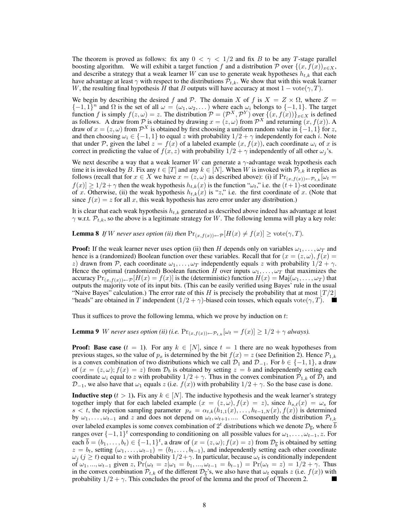The theorem is proved as follows: fix any  $0 < \gamma < 1/2$  and fix B to be any T-stage parallel boosting algorithm. We will exhibit a target function f and a distribution P over  $\{(x, f(x))_{x\in X},$ and describe a strategy that a weak learner W can use to generate weak hypotheses  $h_{t,k}$  that each have advantage at least  $\gamma$  with respect to the distributions  $\mathcal{P}_{t,k}$ . We show that with this weak learner W, the resulting final hypothesis H that B outputs will have accuracy at most  $1 - \text{vote}(\gamma, T)$ .

We begin by describing the desired f and P. The domain X of f is  $X = Z \times \Omega$ , where Z  ${-1, 1}^n$  and  $\Omega$  is the set of all  $\omega = (\omega_1, \omega_2, ...)$  where each  $\omega_i$  belongs to  ${-1, 1}$ . The target function f is simply  $f(z, \omega) = z$ . The distribution  $\mathcal{P} = (\mathcal{P}^X, \mathcal{P}^Y)$  over  $\{ (x, f(x)) \}_{x \in X}$  is defined as follows. A draw from  $\mathcal P$  is obtained by drawing  $x = (z, \omega)$  from  $\mathcal P^X$  and returning  $(x, f(x))$ . A draw of  $x = (z, \omega)$  from  $\mathcal{P}^X$  is obtained by first choosing a uniform random value in  $\{-1, 1\}$  for z, and then choosing  $\omega_i \in \{-1,1\}$  to equal z with probability  $1/2 + \gamma$  independently for each i. Note that under P, given the label  $z = f(x)$  of a labeled example  $(x, f(x))$ , each coordinate  $\omega_i$  of x is correct in predicting the value of  $f(x, z)$  with probability  $1/2 + \gamma$  independently of all other  $\omega_j$ 's.

We next describe a way that a weak learner W can generate a  $\gamma$ -advantage weak hypothesis each time it is invoked by B. Fix any  $t \in [T]$  and any  $k \in [N]$ . When W is invoked with  $\mathcal{P}_{t,k}$  it replies as follows (recall that for  $x \in X$  we have  $x = (z, \omega)$  as described above): (i) if  $Pr_{(x,f(x)) \leftarrow P_{t,k}}[\omega_t =$  $f(x) \geq 1/2 + \gamma$  then the weak hypothesis  $h_{t,k}(x)$  is the function " $\omega_t$ ," i.e. the  $(t+1)$ -st coordinate of x. Otherwise, (ii) the weak hypothesis  $h_{t,k}(x)$  is "z," i.e. the first coordinate of x. (Note that since  $f(x) = z$  for all x, this weak hypothesis has zero error under any distribution.)

It is clear that each weak hypothesis  $h_{t,k}$  generated as described above indeed has advantage at least  $\gamma$  w.r.t.  $\mathcal{P}_{t,k}$ , so the above is a legitimate strategy for W. The following lemma will play a key role:

**Lemma 8** *If* W never uses option (ii) then  $Pr(x, f(x)) \in \mathcal{P}[H(x) \neq f(x)] \geq \text{vote}(\gamma, T)$ .

**Proof:** If the weak learner never uses option (ii) then H depends only on variables  $\omega_1, \ldots, \omega_T$  and hence is a (randomized) Boolean function over these variables. Recall that for  $(x = (z, \omega), f(x) =$ z) drawn from P, each coordinate  $\omega_1, \ldots, \omega_T$  independently equals z with probability  $1/2 + \gamma$ . Hence the optimal (randomized) Boolean function H over inputs  $\omega_1, \ldots, \omega_T$  that maximizes the accuracy  $Pr_{(x,f(x))\leftarrow P}[H(x) = f(x)]$  is the (deterministic) function  $H(x) = Maj(\omega_1,\ldots,\omega_T)$  that outputs the majority vote of its input bits. (This can be easily verified using Bayes' rule in the usual "Naive Bayes" calculation.) The error rate of this H is precisely the probability that at most  $\lfloor T / 2 \rfloor$ "heads" are obtained in T independent  $(1/2 + \gamma)$ -biased coin tosses, which equals vote $(\gamma, T)$ .

Thus it suffices to prove the following lemma, which we prove by induction on  $t$ :

**Lemma 9** W never uses option (ii) (i.e.  $Pr_{(x,f(x))\leftarrow P_{t,k}}[\omega_t = f(x)] \geq 1/2 + \gamma$  always).

**Proof:** Base case  $(t = 1)$ . For any  $k \in [N]$ , since  $t = 1$  there are no weak hypotheses from previous stages, so the value of  $p_x$  is determined by the bit  $f(x) = z$  (see Definition 2). Hence  $\mathcal{P}_{1,k}$ is a convex combination of two distributions which we call  $\mathcal{D}_1$  and  $\mathcal{D}_{-1}$ . For  $b \in \{-1, 1\}$ , a draw of  $(x = (z, \omega); f(x) = z)$  from  $\mathcal{D}_b$  is obtained by setting  $z = b$  and independently setting each coordinate  $\omega_i$  equal to z with probability  $1/2 + \gamma$ . Thus in the convex combination  $\mathcal{P}_{1,k}$  of  $\mathcal{D}_1$  and  $\mathcal{D}_{-1}$ , we also have that  $\omega_1$  equals z (i.e.  $f(x)$ ) with probability  $1/2 + \gamma$ . So the base case is done.

**Inductive step**  $(t > 1)$ . Fix any  $k \in [N]$ . The inductive hypothesis and the weak learner's strategy together imply that for each labeled example  $(x = (z, \omega), f(x) = z)$ , since  $h_{s,\ell}(x) = \omega_s$  for s < t, the rejection sampling parameter  $p_x = \alpha_{t,k}(h_{1,1}(x), \ldots, h_{t-1,N}(x), f(x))$  is determined by  $\omega_1, \ldots, \omega_{t-1}$  and z and does not depend on  $\omega_t, \omega_{t+1}, \ldots$  Consequently the distribution  $\mathcal{P}_{t,k}$ over labeled examples is some convex combination of  $2^t$  distributions which we denote  $\mathcal{D}_{\overline{b}}$ , where  $\overline{b}$ ranges over  $\{-1,1\}^t$  corresponding to conditioning on all possible values for  $\omega_1,\ldots,\omega_{t-1},z$ . For each  $\overline{b} = (b_1, \ldots, b_t) \in \{-1, 1\}^t$ , a draw of  $(x = (z, \omega); f(x) = z)$  from  $\mathcal{D}_{\overline{b}}$  is obtained by setting  $z = b_t$ , setting  $(\omega_1, \ldots, \omega_{t-1}) = (b_1, \ldots, b_{t-1})$ , and independently setting each other coordinate  $\omega_j$  ( $j \ge t$ ) equal to z with probability  $1/2 + \gamma$ . In particular, because  $\omega_t$  is conditionally independent of  $\omega_1, ..., \omega_{t-1}$  given z,  $Pr(\omega_t = z | \omega_1 = b_1, ..., \omega_{t-1} = b_{t-1}) = Pr(\omega_t = z) = 1/2 + \gamma$ . Thus in the convex combination  $\mathcal{P}_{t,k}$  of the different  $\mathcal{D}_{\overline{b}}^{\rightarrow}$ s, we also have that  $\omega_t$  equals z (i.e.  $f(x)$ ) with probability  $1/2 + \gamma$ . This concludes the proof of the lemma and the proof of Theorem 2.